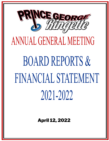

April 12, 2022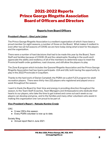# 2021-2022 Reports Prince George Ringette Association Board of Officers and Directors

# **Reports from Board Officers**

## **President's Report – Gina Layte Liston**

The Prince George Ringette Association is a resilient organization of which I have been a proud member for eight seasons, a number of those on the Board. What makes it resilient is even after two (2) full seasons of COVID, we are here today doing what is best for the players and the organization.

There were a number of hard decisions that had to be made this year by the Board, Team Staff and families because of COVID-19 and the catastrophic flooding in the south and I appreciate the ability and resiliency of all of the members to determine ways to meet the Provincial health order guidelines, road closures, and still allow the players to play.

The Zone 8 program which includes the Quesnel Ringette Association and the Prince George Ringette Association had two teams participate- U14 and U16, both having the opportunity to play in the 2022 Provincials in Coquitlam.

Thanks to the hard work of Darian Campbell, the PGRA ran a pilot FLEX program for adult recreation players. There were thirty-two (32) players who registered and played once a week throughout the season.

I want to thank the Board for their time and energy in providing direction throughout the season, to the Team Staff (Coaches, Team Managers and Ambassadors) who dedicate their hearts to our players, who take the time to get trained and come out each week so our players can develop and grow, and to the families and many other volunteers who assist in making this organization one I am proud to be part of.

## **Vice-President's Report – Natsuko Komine** *Cronje*

CRC

- 9 new CRCs this season.
- Every PGRA volunteer is now up to date.

Society filing

● Annual report filed in June 2021.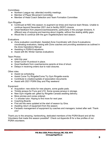**Committees** 

- Northern League rep: attended monthly meetings.
- Member of Player Movement Committee
- Member of Head Coach Selection and Team Formation Committee

Gym Ringette

- Continued at NSC this season; to augment ice times and improve team fitness. Unable to continue beyond December 2021 due to facility (SD57) closure.
- Great feedback from players/coaches/parents, particularly in the younger divisions. A different way of enjoying and learning about ringette, without the skating ability gaps.
- Would like to continue with the gym ringette/dryland next season.

**Evaluations** 

- Zone evaluation coordinator: Assisted Zone Coordinator with Zone 8 evaluations; coordinating evaluators, liaising with Zone coaches and providing assistance as outlined in the Zone Operations Manual
- Assisting in PGRA Evaluations.
- Assist with BC Winter Games evaluations

Team Photos

- AAA this year
- Great Covid-19 protocol in place.
- Good feedback from coaches/some parents at time of shoot.
- Delays in receiving orders due to road closures.

Other roles

- Assist ice scheduling
- Assist Come Try Ringette/Come Try Gym Ringette events
- Contribute to creation/update of association documents
- Assist with 2021 PGRA Stay and Play weekend

Equipment

- Acquisition: new sticks for new players, some goalie pads.
- Timbits jerseys for Funs and U10. Some excess jerseys in storage.
- New Gym ringette set: gifted by Ringette Canada awaiting delivery.
- More pinnies and cones ordered.
- 1 x shooter tutor. Hoping to find more for next year.
- Coaching Boards
- First aid kits were updated at the start of season by Gina.
- Awaiting return of equipment from the season.
- Fantastic management of equipment by coaches and managers; looked after well. Thank you!

Thank you to the amazing, hardworking, dedicated members of the PGRA Board and all the Volunteers that made this season possible!! Check out Appendix B for a few profiles of our PGRA volunteers.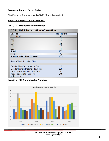## **Treasurer Report – Rayna Barter**

The Financial Statement for 2021-2022 is in Appendix A.

## **Registrar's Report – Karen Andrews**

#### **2021/2022 Registration Information**

| 2021/2022 Registration Information                      |                      |  |  |
|---------------------------------------------------------|----------------------|--|--|
| <b>Division</b>                                         | <b>Total Players</b> |  |  |
| Fun 1/Fun 2                                             | 32                   |  |  |
| U10                                                     | 14                   |  |  |
| U12                                                     | 23                   |  |  |
| U14                                                     | 24                   |  |  |
| U16                                                     | 26                   |  |  |
| U19                                                     | 14                   |  |  |
| <b>Total</b>                                            | 133                  |  |  |
| <b>Flex</b>                                             | 32                   |  |  |
| <b>Total Including Flex Program</b>                     | 165                  |  |  |
|                                                         |                      |  |  |
| Teams Total (including Flex)                            | 11                   |  |  |
|                                                         |                      |  |  |
| Gender Male (not including Flex)                        | 28                   |  |  |
| Gender Female (not including Flex)                      | 105                  |  |  |
| New Players (not including Flex)                        | 31                   |  |  |
| <b>Association Total Including</b><br><b>Volunteers</b> | 248                  |  |  |

## **Trends in PGRA Membership Numbers**



P.O. Box 1321, Prince George, BC, V2L 4V4 www.pgringette.ca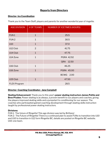## **Reports from Directors**

## **Director- Ice Coordination**

| <b>AGE DIVISION</b> | # OF TEAMS     | <b>NUMBER OF ICETIMES (HOURS)</b> |  |
|---------------------|----------------|-----------------------------------|--|
| FUN <sub>1</sub>    | $\mathbf{1}$   | 25.5                              |  |
| FUN <sub>2</sub>    | $\mathbf{1}$   | 30.5                              |  |
| U10                 | $\mathbf{1}$   | 37.0                              |  |
| U12 Club            | $\overline{2}$ | 41.75                             |  |
| U14 Club            | $\mathbf{1}$   | 47.75                             |  |
| U14 Zone            | $\mathbf{1}$   | <b>PGRA 42.92</b>                 |  |
|                     |                | QRA 12.50                         |  |
| U16 Club            | $\mathbf{1}$   | 46.25                             |  |
| U16 Zone            | $\mathbf{1}$   | PGRA 45.00                        |  |
|                     |                | BCWG 2.00                         |  |
| U19 Club            | $\mathbf{1}$   | 47.50                             |  |
| <b>FLEX Program</b> |                | 28.5                              |  |

Thank you to the Team Staff, players and parents for another wonderful year of ringette.

## **Director- Coaching Coordinator– Jana Campbell**

**Skating Enhancement**: Thank you to this year's **power skating instructors James Pattie and Bree Pruden.** Power skating is as always, a proven benefit to our players and coaches, giving the players improved skating skills and a jumpstart to conditioning for our season. The coaches who participated gained coaching development through skating skills instruction taught by professional power skating instructors.

## **Divisions:**

FUN 1: The future of Ringette! This age division was led by Brittany! FUN 2: The Future of Ringette! There is a continued plan to assist FUNs to transition into U10 and U10 to transition in U12 form Ringette BC, details are posted on Ringette BC website. U10: one team.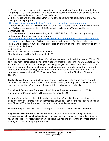U12: two teams and have an option to participate in the Northern Competition Introduction Program (AKA U12 Development). This season with tournament restrictions due to covid the program was unable to provide its full experience.

U14: one house and one zone team. Players had the opportunity to participate in the virtual training to excel program

<https://www.ringettebc.ca/athletes/u14-train-to-excel-virtual-training-program/>

U14 House were the GOLD MEDAL, PROVINCIAL CHAMPIONS FOR 2022! Two players from our U14 Zone team were invited to join Kelowna to participate in Westerns this year! Congratulations!

U16: one house and one zone team. Players from U16, U19 and 18+ had the opportunity to participate in the virtual excellence program

[https://www.ringettebc.ca/athletes/excellence-ringette-program/excellence-ringette-progra](https://www.ringettebc.ca/athletes/excellence-ringette-program/excellence-ringette-program-coaches/) [m-coaches/](https://www.ringettebc.ca/athletes/excellence-ringette-program/excellence-ringette-program-coaches/) four of our own U16 Zone players who participated in Excellence, also played on Team BC this season! A huge accomplishment and Congratulations to those Players and their hard work and dedication.

U19: one team

18+: only a few players so they moved to Flex

Flex: two teams and the first season of it in PG!

**Coaching Courses/Resources:** Many Virtual courses were continued this season. CSI and CI as well as many other coach development opportunities through Ringette BC, Engage Sport, Via Sport and the National Coaching Course Program (NCCP. We will continue to search for Coach development opportunities as well as focus on coach recruitment, retainment, and certification. Junior Coaching, Coach mentors and mentees will be a continued effort to improve our program here in PG. Thank you, Bree, for coordinating Children's Ringette this season.

**Goalie clinics**: Thank you to Colleen, Moorhouse, Lisa Matzelli, Chris Month and especially to our junior goalie coach Arwyn Frazer for helping with our younger goalies. We enjoyed the space at the Northern Sport center for our off- ice portion of our goalie clinic.

**Staff/Coach Evaluations**: The surveys for Children's Ringette were sent out by PGRA, evaluations for U12 and older will be sent out by Ringette BC.

**Dryland:** Scheduling consistent dryland at the Northern Sport Center was great for team bonding, learning Ringette rules and strategies as well as of course fitness opportunities and gym Ringette! The feedback was to hopefully continue this next season.

**First Aid:** we provided an exclusive to Ringette 1<sup>st</sup> aid course for 12 team staff members.

**Player Mentor Program:** we did have several players attend practices and junior coach younger teams, helping with ringette skills development and as player role models. A player giving back their knowledge is such a good **thing**! We hope to encourage this more often by setting us a team buddy program as well.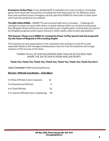**Emergency Action Plan:** A very detailed EAP is mandatory for every practice, scrimmage, game, team event and Tournament. Including the host teams plan for our Referees. Every team was provided a base Emergency Action plan from PGRA for them tailor to their team and it was also posted on our website.

**The BIG CHALLENGE…** RINGETTE was invented right here in Canada! …. Challenge All members to share our sport with others, to spark interest within our schools to bring back Gym Ringette (book and borrow our associations gym ringette gear), to bring back our just for fun Ringette programs and to spark interest in other nearby cities to start associations!

## **This Season: Thank you to BREE for running the Power to Play (parent and tot) program!!! Yay the future of Ringette in PG is looking bright!**

The Coaches are very appreciative of the volunteers who assisted on and off ice and especially thanks to the managers/ambassadors who are truly the backbone and a huge measure of the success of the team.

THANKS TO ALL OF OUR VOLUNTEERS WHO TAKE AN ACTIVE ROLE AND SHARE THE JOY OF OUR PLAYERS AND OUR SPORT!

## **Thank You, Thank You, Thank You, Thank You, Thank You, Thank You, Thank You ALL!!**

Jana Campbell: PGRA Coaching Director

## **Director- Officials Coordinator – Chris Bjorn**

| # of New Officials in last 2 seasons |  |
|--------------------------------------|--|
|--------------------------------------|--|

- # of Experienced Officials 4
- # of Total Officials 16
- # of Games Officiated (incl. shadowing) 93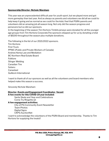## **Sponsorship Director- Nichole Wareham**

This year was an unprecedented difficult year for youth sport, but we played more and got more gameplay than last year. And as always as parents and volunteers we did all we could to help keep it going and as normal as we could for the kids.I feel that PGRA parents and volunteers did an amazing job all season long. Not only did the season progress and persevere but so did our sponsors.

In the beginning of the season Tim Hortons Timbits jerseys were donated for all the younger age groups from Tim Hortons Corporate.The sponsors stepped up for us by donating a total of \$6100 throughout the season plus multiple donations.

The following is the list of our 2021/2022 sponsors. Tim Hortons First Truck PPWC (Public and Private Workers of Canada) Andrew Kemp Law and Mediation BC Northern Real Estate Board Folklore Stinger Welding Canadian Tire Subaru Canasteel Guillevin International

I want to thank all of our sponsors as well as all the volunteers and board members who helped make this season a success.

Sincerely Nichole Wareham

#### **Director- Events and Engagement Coordinator- Vacant A few events for this COVID-19 year included:**

Santa Skate and Year-end Celebrations Come Try Ringette (2)

**A few engagement activities:**

City of PG Community Event Newsletter Team Photos Digital Signs CKPG AuctionNet

I want to acknowledge the volunteers of the PGRA Board and membership. Thanks to Tim Hortons for supplying the treats!!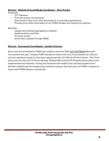## **Director- Website & Social Media Coordinator – Bree Purden**

Facebook:

- 577 followers
- Promote events, tournaments
- Share posts, news from other associations or sporting organizations.
- Provide up-to-date information to our PGRA families and respond to inquiries.

Web Site:

- Update and maintain pgringette.ca website
- Update policies and links
- Promote events
- Send news, updates through GMail

## **Director- Tournament Coordinator– Jennifer Erickson**

Due to the Covid Pandemic PGRA was unable to host the 30th JOY HOFFMAN Memorial Tournament this year. Instead, PGRA decided to hold a mini 3 on 3 tournament for U12 and up and a weekend of play for the lower age groups Nov 12-14th at the Kin Centers. The Covid protocols from the City of Prince George, Ringette BC and the PG Ringette Association were implemented and followed. During this weekend new health rules had been applied from Northern Health and the weekend was limited to players that were part of PGRA or played on teams with PGRA players consistently.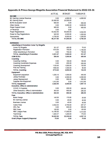|                                                     | <b>ACTUAL</b> | <b>RUDGET</b>          | <b>VARIANCE</b>  |
|-----------------------------------------------------|---------------|------------------------|------------------|
| <b>INCOME</b>                                       |               |                        |                  |
| <b>BC Gaming License Revenue</b>                    | o oo          | 4,000.00               | 4.000.00         |
| <b>BC Gaming Grant</b>                              | 25,500.00     | 25,500.00              |                  |
| <b>BCRA Evaluation Grant</b>                        | 6000 00       | <b>0.00</b>            | 600 00           |
| Other Grants                                        | o oo          | 3.000.00               | 3.000.00         |
| <b>Player Support Grant</b>                         | 900.00        | o oo                   | 900 00           |
| <b>JH Revenue</b>                                   | o oo          | n m                    | ä,               |
| <b>Player Registrations</b>                         | 53,522,80     | 50,000,00              | 3,522,80         |
| Power to Play Registrations                         | 945.00        | 2,500.00               | 1,555,00<br>à.   |
| Sponsorship                                         | 4.750.00      | 6,000.00               | 1,250.00<br>ä,   |
| <b>TOTAL INCOME</b>                                 | 86,217.80     | 91.000.00              | 4.782.20         |
| <b>FXPFNSFS</b>                                     |               |                        |                  |
| Advertising & Promotion Come Try Ringette           |               |                        |                  |
| Come Tiv Ringette                                   | 321.07        | ADD 00                 | 78.93            |
| <b>Registration Promotion</b>                       | 1910.00       | 750.00                 | 1.160.00<br>ц.   |
| Other Advertising & Promotion                       | 6 66          | 750.00                 | 750.00           |
| <b>TOTAL Advertising &amp; Promotion</b>            | 2.231.07      | 1,900,00               | 331.07           |
| <b>AGM-BCRA</b>                                     | 550.00        | 1.000.00               | <b>ASD 00</b>    |
| Coaching                                            |               |                        |                  |
| Coaching Clothing                                   | 0.00          | 100 00                 | 100.00           |
| <b>Coaching Coordinator Expenses</b>                | n nn          | 250.00                 | 250.00           |
| <b>Coaching Development</b>                         | 1125.65       | 1.000.00               | 125.65<br>à.     |
| <b>First Ald Training</b>                           | 15900.00      | 1,500,00               | 901 OO           |
| <b>TOTAL Coaching</b>                               | 2715.65       | 2,850.00               | 134, 35          |
| Equipment                                           |               |                        |                  |
| Equipment acquisition                               | 1.030.10      | 1,500,00               | <b>AGO 90</b>    |
| <b>Jersey Purchase</b>                              | 0.00          | 2,500.00               | 2,500.00         |
| <b>Jersey Replacement</b>                           | 88 BB         | <b><i>STM1 001</i></b> | <b>STATI (M)</b> |
| Supplies Non-Equipment                              | 1,612.80      | 6.66                   | 1,612.80         |
| <b>TOTAL Equipment</b>                              | 2.642.90      | 4,500.00               | 1.857.10         |
| <b>Executive, Office &amp; Administration</b>       |               |                        |                  |
| COVID 19 Supplies                                   | o na          | 200 00                 | 200.00           |
| Other Executive, Office & Administration            | 363.05        | 6250.00                | 286.95           |
| <b>TOTAL Executive, Office &amp; Administration</b> | 363.05        | 850.00                 | 486.95           |
| Foon                                                |               |                        |                  |
| <b>Bank Charge</b>                                  | 145,00        | 170.00                 | 25.00            |
| <b>BC Gaming License</b>                            | 0.00          | 20.00                  | 20.00            |
| <b>Business License</b>                             | 0.00          | 40.00                  | 40.00            |
| Karelo Fees.                                        | 2,542.53      | 2.750.00               | 207.47           |
| <b>NRL Fee</b>                                      | 0.00          | 650.00                 | 650.00           |
| <b>REC Dues</b>                                     | 120.00        | 0.00                   | 120.00           |
| <b>RBC League Fees</b>                              | 14,186.00     | 17,500.00              | 3,314,00         |
| TeamSnap                                            | 1.029.37      | 1,200.00               | 170.63           |
| <b>TOTAL Fees</b>                                   | 18.022.90     | 22,330.00              | 4.307.10         |
| <b>Grant (Player Support) Dispursal</b>             | 75.00         | o no                   | 75.00            |

## **Appendix A: Prince George Ringette Association Financial Statement to 2022-03-31**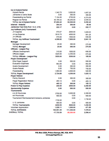| <b>Ice &amp; Dryland Rental</b>           |               |              |                    |               |
|-------------------------------------------|---------------|--------------|--------------------|---------------|
| <b>Dryland Rental</b>                     | 1.342.75      | 3,000.00     |                    | 1,657.25      |
| Jamboree & Santa Strate                   | o no          | 300,00       |                    | 3000 OO       |
| Powerskating Ice Rental                   | 7.124.26      | 2750.00      | $\bar{\mathbf{r}}$ | 4,374.26      |
| Regular Ice Rental                        | 49.185.42     | 46,250.00    | ц.                 | 2,935.42      |
| <b>TOTAL Ice &amp; Dryland Rental</b>     | 57.652.43     | 52,300.00    |                    | 5.352.43      |
| <b>Infernet - Website</b>                 | <b>264.34</b> | 350.00       |                    | 85.66         |
| Jamboree-Year-End (Fun 1 & 2, U10)        | 222.17        | o oo         |                    | 222.17        |
| Joy Hoffman (3x3) Tournament              |               |              |                    |               |
| JH Supplies                               | 970.07        | 2000.00      |                    | 1.029.93      |
| JH Ice Expense                            | 3018.75       | 4000.00      |                    | 981-25        |
| JH Officials                              | 970.00        | 1800.00      |                    | 830.00        |
| <b>TOTAL Joy Hoffman Tournament</b>       | 4,958.82      | 7,800.00     |                    | 2.841.18      |
| Manager                                   |               |              |                    |               |
| Manager Development                       | 25.00         | 300.00       |                    | 275,00        |
| <b>TOTAL Manager</b>                      | 25.00         | 300.00       |                    | 275,00        |
| Officials - League Play                   |               |              |                    |               |
| <b>Officials Development</b>              | 310.00        | 1000.00      |                    | 690.00        |
| Officials wages                           | 3225.00       | 2,350.00     |                    | 875 M         |
| <b>TOTAL Officials - League Play</b>      | 3535.00       | 3350.00      |                    | 185,00        |
| <b>Player Development</b>                 |               |              |                    |               |
| <b>Ellie Player Support</b>               | o no          | 500.00       |                    | 500.00        |
| <b>Evaluation Expenses</b>                | 864,88        | m nm         |                    | <b>BEA BB</b> |
| Goalle Development                        | m mn          | 300.00       |                    | 3000 OD       |
| Goalle Rebate                             | 0.00          | 750.00       |                    | 750 M         |
| Powerskating                              | 1,860.00      | 2,800.00     |                    | 940.00        |
| <b>TOTAL Player Development</b>           | 2.724.88      | 4,350.00     |                    | 1.625.12      |
| <b>Player Refund</b>                      |               |              |                    |               |
| <b>Family Discount</b>                    | o no          | 300.00       |                    | 3000 00       |
| <b>Player Registration Refund</b>         | 469.12        | 0.00         |                    | 469.12        |
| <b>TOTAL Player Refund</b>                | 469.12        | 300,00       |                    | 169.12        |
| Power to Play Expense                     | 240.00        | 2500 00      |                    | 2,260.00      |
| <b>Sponsorship Expense</b>                | 0.00          | 500,00       |                    | 500.00        |
| <b>Tournaments</b>                        |               |              |                    |               |
| A & B Provincials                         | 2700.00       | 5,000,00     |                    | 2,300.00      |
| <b>AA Provincials</b>                     | 900.00        | 0.00         |                    | 900.00        |
| Tournament Reimbursement-Kelowna Jamboree |               | 0.00         |                    |               |
|                                           | 1730.95       |              |                    | 1.730.95      |
| U 12 Jamboree                             | 900.00        | 0.00         |                    | 900.00        |
| <b>TOTAL Tournaments</b>                  | 6230.95       | 5000 00      |                    | 1.230.95      |
| <b>Volunteer Appreciation</b>             | 1,028.11      | 1,500.00     |                    | 471.89        |
| <b>TOTAL EXPENSES</b>                     | 103.951.39    | 111,330.00   |                    | 7,378.61      |
| <b>OVERALL TOTAL</b>                      | $-17,733,59$  | $-20.330.00$ |                    | 2,596.41      |

r.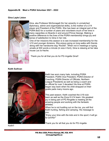## **Appendix B: Meet a PGRA Volunteer 2021 - 2022**

#### **Gina Layte Liston**



Gina, aka Professor McGonagall (for her wizardry in unmatched diplomacy, admin and organisational skills), is the mother of a U14 player and President of the PGRA. She has been an integral part of the PGRA BoD for a number of years and volunteers much of her time in many capacities on Boards in and around Prince George. Making a positive difference to the lives of the PGRA membership brings joy and sense of satisfaction to Gina in her role.

One of her missions this season is to see increased membership for the U10 and younger divisions. She enjoys going on long walks with friends along with her handsome dog "Rocket". When not in meetings or typing emails at 500 words a minute (in size 4 font), Gina is relaxing at her lake house Lac la Hache.

Thank you for all that you do for PG ringette Gina!!

#### **Keith Sullivan**



Keith has worn many hats, including PGRA President, PGRA Vice President, PGRA Director of Coaching, PGRA Director of Officials, Northern League Presidents as well as being a coach and an official for over 3 decades! His time at PGRA began way back when his child strapped on their goalie pads many moons ago.

This past season, Keith coached the U19 club team as well as the Zone 8 U14 team. His greatest joy in being part of PG Ringette is meeting all the amazing people and working with the fantastic athletes.

When he is not hustling out on the ice, you will find Keith hunting, fishing and camping. His message to you:

*"Enjoy your time with the kids and in the sport; it will go by quickly!"*

Thank you for all that you do for PG ringette

Keith!!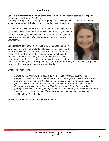## **Jana Campbell**

Jana, aka Mary Poppins (because of the sheer volume and variety of goodies that appears out of her bottomless bag), is found

coaching/looking/listening/chatting/playing/helping/organizing/teaching in all areas of PGRA,

with all age groups, all the time. Jana basically lives at the arenas.

*"My neighbour played Ringette and I wanted to try it, so 35 years ago I started as a player then taught skating lessons for the City in the late 1990's . I started by teaching power skating for PGRA and coaching my niece in 1999 and have been around ever since coaching or volunteering."*

Jana is taking part in the PGRA Flex program this year and enjoys gardening, growing food or plants, fishing, camping, boating and outdoor family/friend adventures. Jana would like to see more recruitment and development of coaches, junior coaches and officials, increased opportunity for competitive play and player development for all ages as well as increasing the profile of ringette



in the community by a way of drop in ringette at outdoor community rinks as well as organised events such as tournaments and game weekends.

#### What's important to me?

*Putting players first, why most people play is because of friendships, fitness or competition, however it is important to get to know your players and ask them why they play and what their goals are. It is the Players who are the driving force for us all.... to provide a Ringette experience that includes athletic growth, Ringette specific skills development, physical strength, mental health and life skills throughout their Ringette journey. The coaches, referees, managers, trainers, ambassadors, board members,parents, spectators and our community all have important and valuable roles to make the association the best it can be.*

Thank you for all that you do for PG ringette Jana!!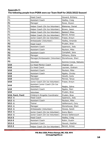#### **Appendix C: The following people from PGRA were our Team Staff for 2021/2022 Season!**

|                                               | Howard, Brittany                     |
|-----------------------------------------------|--------------------------------------|
|                                               | Hadley, Craig                        |
| Rowe, Alyson<br>Manager                       |                                      |
| Helper Coach (On Ice Volunteer)               | Blakeney, Daniel                     |
| Helper Coach (On Ice Volunteer)               | Brown, Jason                         |
| Helper Coach (On Ice Volunteer)               | Batdorf, Miles                       |
| Helper Coach (On Ice Volunteer)               | Benoit, Aimee                        |
| Junior Coach (On Ice Volunteer)               | Fraser, Arwyn                        |
| Ambassador (Volunteer)                        | Hadley, Amanda                       |
| <b>Head Coach</b>                             | Pruden, Bree                         |
| <b>Assistant Coach</b>                        | Ispanocic, Jody                      |
| <b>Assistant Coach</b>                        | Paulson, Mike                        |
| <b>Assistant Coach</b>                        | Campbell, Jana                       |
| Manager                                       | Williams, Elisha                     |
| Manager/Ambassador (Volunteer)                | Stonehouse, Sheri                    |
| Volunteer                                     | Komine Cronje, Natsuko               |
| Co Head Mentor Coach                          | Ongman, Lee                          |
| Co Head Coach                                 | Laursen, Graham                      |
| Assistant Coach                               | Paulson, Mike                        |
| Assistant Coach                               | Ngabo, Christy                       |
| Manager                                       | Hewitt, Carla                        |
| Volunteer                                     | Penner, Tanya                        |
| Junior Coach (On Ice Volunteer)               | Fraser, Arwyn                        |
|                                               |                                      |
| Assistant Junior Coach (On Ice                |                                      |
| Volunteer)                                    | Nagbo, Zahra                         |
| <b>Assistant Coach</b>                        | Ngabo, Mani                          |
| Volunteer                                     | Pruden, Bree                         |
| Children's Ringette Coordinator<br>Head Coach | Pruden, Bree                         |
| Assistant Coach                               | Ispanocic, Jody<br>Paulson, Mike     |
| Trainer                                       | Vaillencourt, Cory                   |
| Manager                                       | Stonehouse, Sheri                    |
| Ambassador (Volunteer)                        | Howse, Sarah                         |
| Junior Coach (On Ice Volunteer)               | Avery Bjorn                          |
| Junior Coach (On Ice Volunteer)               | Amara Vaillencourt                   |
| <b>Head Coach</b>                             | Hadley, Craig                        |
| Assistant Coach                               | Robin, Dustin                        |
| Assistant Coach                               | Hausot, Heather                      |
|                                               | <b>Head Coach</b><br>Assistant Coach |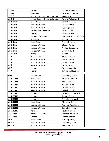| $U12-2$         | Manager                                        | Hadley, Amanda         |  |
|-----------------|------------------------------------------------|------------------------|--|
| $U12-2$         | Volunteer                                      | Broadbent, Sarah       |  |
| $U12-2$         | Junior Coach (On Ice Volunteer)<br>Avery Bjorn |                        |  |
| $U12-2$         | Junior Coach (On Ice Volunteer)                | Amara Vaillencourt     |  |
| U14 Club        | Campbell, Jana<br><b>Head Coach</b>            |                        |  |
| U14 Club        | <b>Assistant Coach</b>                         | Nelson, David          |  |
| U14 Club        | <b>Assistant Coach</b>                         | <b>Furlong Stacy</b>   |  |
| U14 Club        | Manager/Ambassador                             | Nelson, Jodi           |  |
| U14 Club        | <b>Trainer</b>                                 | Delwo, Kristie         |  |
| U14 Club        | Manager (Volunteer)                            | Komine Cronje, Natsuko |  |
| U14 Club        | Junior Coach                                   | Furlong, Orla          |  |
| U16 Club        | <b>Head Coach</b>                              | McLeod, Hugo           |  |
| U16 Club        | <b>Assistant Coach</b>                         | Stussi, Adina          |  |
| U16 Club        | <b>Assistant Coach</b>                         | Malfair, Cassandra     |  |
| U16 Club        | <b>Assistant Coach</b>                         | Derouin, Rod           |  |
| U16 Club        | Manager                                        | Malfair, Gil           |  |
| U19             | <b>Head Coach</b>                              | Sullivan, Keith        |  |
| U19             | <b>Assistant Coach</b>                         | Barter, Rayna          |  |
| U19             | Assistant Coach                                | Derouin, Rod           |  |
| U19             | <b>Assistant Coach</b><br>Butler, Terry        |                        |  |
| U19             | Manager                                        | Butler, Amanda         |  |
| U19             | Trainer                                        | Catherine McCarthy     |  |
| Flex            | Coordinator                                    | Campbell, Darian       |  |
| <b>U14 ZONE</b> | <b>Head Coach</b>                              | Wheeler, Jennifer      |  |
| U14 ZONE        | <b>Assistant Coach</b>                         | Bond, Aaron            |  |
| <b>U14 ZONE</b> | <b>Assistant Coach</b>                         | Pruden, Bree           |  |
| U14 ZONE        | <b>Assistant Coach</b>                         | Sullivan, Keith        |  |
| <b>U14 ZONE</b> | Assistant Coach                                | Scheck, Brent          |  |
| <b>U14 ZONE</b> | Manager                                        | Bespoyasny, Michelle   |  |
| <b>U14 ZONE</b> | Manager                                        | Talbot, Shona          |  |
| <b>U14 ZONE</b> | Manager                                        | Michelle Krawczyk      |  |
| <b>U16 ZONE</b> | <b>Head Coach</b>                              | Atkinson, Devin        |  |
| <b>U16 ZONE</b> | Assistant Coach                                | Furlong, Anastasia     |  |
| <b>U16 ZONE</b> | Assistant Coach                                | Campbell, Jana         |  |
| <b>U16 ZONE</b> | Manager                                        | Paulson, Sherri        |  |
| U16 Zone        | Manager - Assistant                            | Wintemute, Kristi      |  |
| U16 Zone        | Trainer                                        | Fraser, Andrea         |  |
| <b>BCWG</b>     | <b>Head Coach</b>                              | Furlong, Stacy         |  |
| <b>BCWG</b>     | Assistant Coach                                | Campbell, Jana         |  |
| <b>BCWG</b>     | Assistant Coach                                | Atkinson, Devin        |  |